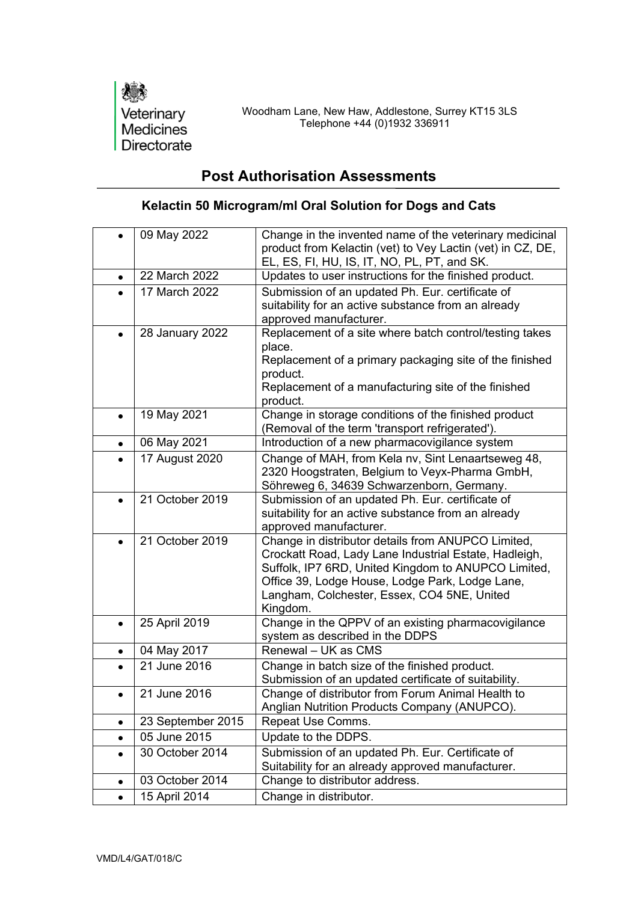

## **Post Authorisation Assessments**

## **Kelactin 50 Microgram/ml Oral Solution for Dogs and Cats**

|           | 09 May 2022       | Change in the invented name of the veterinary medicinal<br>product from Kelactin (vet) to Vey Lactin (vet) in CZ, DE,<br>EL, ES, FI, HU, IS, IT, NO, PL, PT, and SK.                                                                                                             |
|-----------|-------------------|----------------------------------------------------------------------------------------------------------------------------------------------------------------------------------------------------------------------------------------------------------------------------------|
| $\bullet$ | 22 March 2022     | Updates to user instructions for the finished product.                                                                                                                                                                                                                           |
|           | 17 March 2022     | Submission of an updated Ph. Eur. certificate of<br>suitability for an active substance from an already<br>approved manufacturer.                                                                                                                                                |
| $\bullet$ | 28 January 2022   | Replacement of a site where batch control/testing takes<br>place.<br>Replacement of a primary packaging site of the finished<br>product.<br>Replacement of a manufacturing site of the finished<br>product.                                                                      |
| $\bullet$ | 19 May 2021       | Change in storage conditions of the finished product<br>(Removal of the term 'transport refrigerated').                                                                                                                                                                          |
| $\bullet$ | 06 May 2021       | Introduction of a new pharmacovigilance system                                                                                                                                                                                                                                   |
|           | 17 August 2020    | Change of MAH, from Kela nv, Sint Lenaartseweg 48,<br>2320 Hoogstraten, Belgium to Veyx-Pharma GmbH,<br>Söhreweg 6, 34639 Schwarzenborn, Germany.                                                                                                                                |
| $\bullet$ | 21 October 2019   | Submission of an updated Ph. Eur. certificate of<br>suitability for an active substance from an already<br>approved manufacturer.                                                                                                                                                |
|           | 21 October 2019   | Change in distributor details from ANUPCO Limited,<br>Crockatt Road, Lady Lane Industrial Estate, Hadleigh,<br>Suffolk, IP7 6RD, United Kingdom to ANUPCO Limited,<br>Office 39, Lodge House, Lodge Park, Lodge Lane,<br>Langham, Colchester, Essex, CO4 5NE, United<br>Kingdom. |
| $\bullet$ | 25 April 2019     | Change in the QPPV of an existing pharmacovigilance<br>system as described in the DDPS                                                                                                                                                                                           |
| $\bullet$ | 04 May 2017       | Renewal - UK as CMS                                                                                                                                                                                                                                                              |
|           | 21 June 2016      | Change in batch size of the finished product.<br>Submission of an updated certificate of suitability.                                                                                                                                                                            |
| $\bullet$ | 21 June 2016      | Change of distributor from Forum Animal Health to<br>Anglian Nutrition Products Company (ANUPCO).                                                                                                                                                                                |
| $\bullet$ | 23 September 2015 | Repeat Use Comms.                                                                                                                                                                                                                                                                |
| $\bullet$ | 05 June 2015      | Update to the DDPS.                                                                                                                                                                                                                                                              |
| ٠         | 30 October 2014   | Submission of an updated Ph. Eur. Certificate of<br>Suitability for an already approved manufacturer.                                                                                                                                                                            |
| $\bullet$ | 03 October 2014   | Change to distributor address.                                                                                                                                                                                                                                                   |
| $\bullet$ | 15 April 2014     | Change in distributor.                                                                                                                                                                                                                                                           |